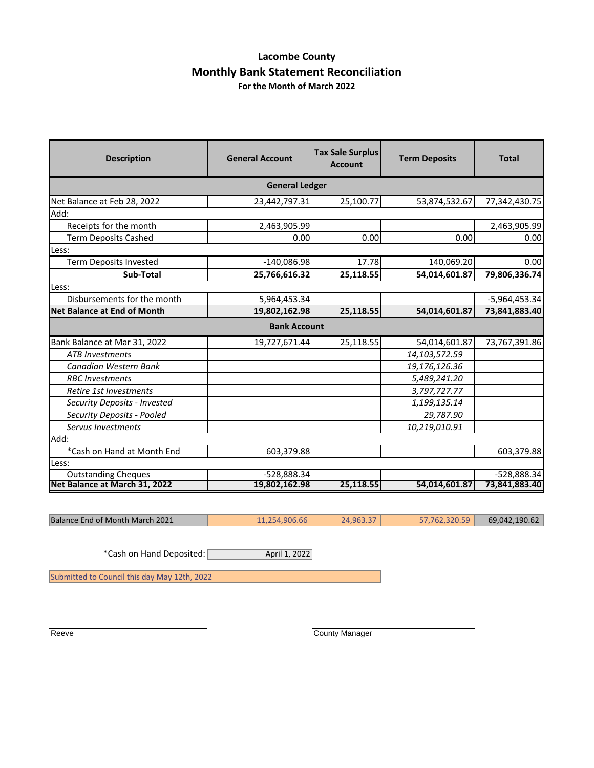### **Lacombe County Monthly Bank Statement Reconciliation For the Month of March 2022**

| <b>Description</b>                 | <b>General Account</b> | <b>Tax Sale Surplus</b><br><b>Account</b> | <b>Term Deposits</b> | <b>Total</b>    |  |
|------------------------------------|------------------------|-------------------------------------------|----------------------|-----------------|--|
| <b>General Ledger</b>              |                        |                                           |                      |                 |  |
| Net Balance at Feb 28, 2022        | 23,442,797.31          | 25,100.77                                 | 53,874,532.67        | 77,342,430.75   |  |
| Add:                               |                        |                                           |                      |                 |  |
| Receipts for the month             | 2,463,905.99           |                                           |                      | 2,463,905.99    |  |
| <b>Term Deposits Cashed</b>        | 0.00                   | 0.00                                      | 0.00                 | 0.00            |  |
| Less:                              |                        |                                           |                      |                 |  |
| Term Deposits Invested             | $-140,086.98$          | 17.78                                     | 140,069.20           | 0.00            |  |
| Sub-Total                          | 25,766,616.32          | 25,118.55                                 | 54,014,601.87        | 79,806,336.74   |  |
| Less:                              |                        |                                           |                      |                 |  |
| Disbursements for the month        | 5,964,453.34           |                                           |                      | $-5,964,453.34$ |  |
| <b>Net Balance at End of Month</b> | 19,802,162.98          | 25,118.55                                 | 54,014,601.87        | 73,841,883.40   |  |
|                                    | <b>Bank Account</b>    |                                           |                      |                 |  |
| Bank Balance at Mar 31, 2022       | 19,727,671.44          | 25,118.55                                 | 54,014,601.87        | 73,767,391.86   |  |
| <b>ATB Investments</b>             |                        |                                           | 14,103,572.59        |                 |  |
| Canadian Western Bank              |                        |                                           | 19,176,126.36        |                 |  |
| <b>RBC</b> Investments             |                        |                                           | 5,489,241.20         |                 |  |
| Retire 1st Investments             |                        |                                           | 3,797,727.77         |                 |  |
| Security Deposits - Invested       |                        |                                           | 1,199,135.14         |                 |  |
| Security Deposits - Pooled         |                        |                                           | 29,787.90            |                 |  |
| Servus Investments                 |                        |                                           | 10,219,010.91        |                 |  |
| Add:                               |                        |                                           |                      |                 |  |
| *Cash on Hand at Month End         | 603,379.88             |                                           |                      | 603,379.88      |  |
| Less:                              |                        |                                           |                      |                 |  |
| <b>Outstanding Cheques</b>         | $-528,888.34$          |                                           |                      | $-528,888.34$   |  |
| Net Balance at March 31, 2022      | 19,802,162.98          | 25,118.55                                 | 54,014,601.87        | 73,841,883.40   |  |

| Balance End of Month March 2021 | 11,254,906.66 | 24,963.37 | 57,762,320.59 | 69,042,190.62 |
|---------------------------------|---------------|-----------|---------------|---------------|
|                                 |               |           |               |               |

\*Cash on Hand Deposited: April 1, 2022

Submitted to Council this day May 12th, 2022

Reeve County Manager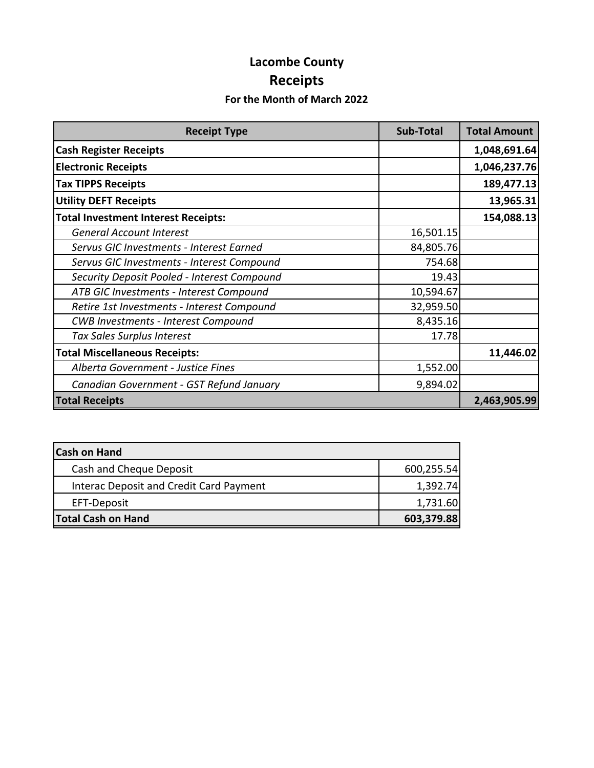# **Lacombe County Receipts**

## **For the Month of March 2022**

| <b>Receipt Type</b>                         | <b>Sub-Total</b> | <b>Total Amount</b> |
|---------------------------------------------|------------------|---------------------|
| <b>Cash Register Receipts</b>               |                  | 1,048,691.64        |
| <b>Electronic Receipts</b>                  |                  | 1,046,237.76        |
| <b>Tax TIPPS Receipts</b>                   |                  | 189,477.13          |
| <b>Utility DEFT Receipts</b>                |                  | 13,965.31           |
| <b>Total Investment Interest Receipts:</b>  |                  | 154,088.13          |
| <b>General Account Interest</b>             | 16,501.15        |                     |
| Servus GIC Investments - Interest Earned    | 84,805.76        |                     |
| Servus GIC Investments - Interest Compound  | 754.68           |                     |
| Security Deposit Pooled - Interest Compound | 19.43            |                     |
| ATB GIC Investments - Interest Compound     | 10,594.67        |                     |
| Retire 1st Investments - Interest Compound  | 32,959.50        |                     |
| <b>CWB Investments - Interest Compound</b>  | 8,435.16         |                     |
| Tax Sales Surplus Interest                  | 17.78            |                     |
| <b>Total Miscellaneous Receipts:</b>        |                  | 11,446.02           |
| Alberta Government - Justice Fines          | 1,552.00         |                     |
| Canadian Government - GST Refund January    | 9,894.02         |                     |
| <b>Total Receipts</b>                       |                  | 2,463,905.99        |

| <b>Cash on Hand</b>                     |            |
|-----------------------------------------|------------|
| Cash and Cheque Deposit                 | 600,255.54 |
| Interac Deposit and Credit Card Payment | 1,392.74   |
| EFT-Deposit                             | 1,731.60   |
| <b>Total Cash on Hand</b>               | 603,379.88 |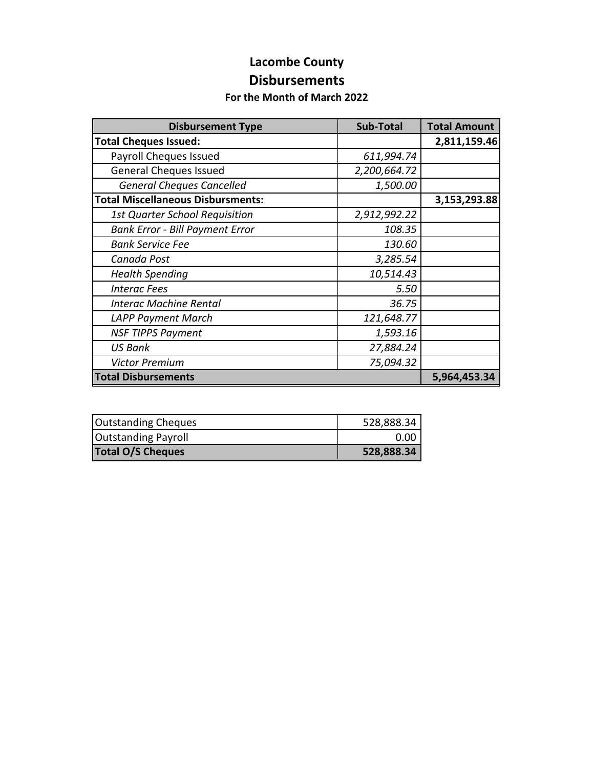## **Lacombe County Disbursements**

#### **For the Month of March 2022**

| <b>Disbursement Type</b>                 | Sub-Total    | <b>Total Amount</b> |
|------------------------------------------|--------------|---------------------|
| <b>Total Cheques Issued:</b>             |              | 2,811,159.46        |
| Payroll Cheques Issued                   | 611,994.74   |                     |
| <b>General Cheques Issued</b>            | 2,200,664.72 |                     |
| <b>General Cheques Cancelled</b>         | 1,500.00     |                     |
| <b>Total Miscellaneous Disbursments:</b> |              | 3,153,293.88        |
| <b>1st Quarter School Requisition</b>    | 2,912,992.22 |                     |
| <b>Bank Error - Bill Payment Error</b>   | 108.35       |                     |
| <b>Bank Service Fee</b>                  | 130.60       |                     |
| Canada Post                              | 3,285.54     |                     |
| <b>Health Spending</b>                   | 10,514.43    |                     |
| <b>Interac Fees</b>                      | 5.50         |                     |
| <b>Interac Machine Rental</b>            | 36.75        |                     |
| <b>LAPP Payment March</b>                | 121,648.77   |                     |
| <b>NSF TIPPS Payment</b>                 | 1,593.16     |                     |
| <b>US Bank</b>                           | 27,884.24    |                     |
| <b>Victor Premium</b>                    | 75,094.32    |                     |
| <b>Total Disbursements</b>               |              | 5,964,453.34        |

| <b>Outstanding Cheques</b> | 528,888.34 |
|----------------------------|------------|
| <b>Outstanding Payroll</b> | 0.00       |
| <b>Total O/S Cheques</b>   | 528,888.34 |